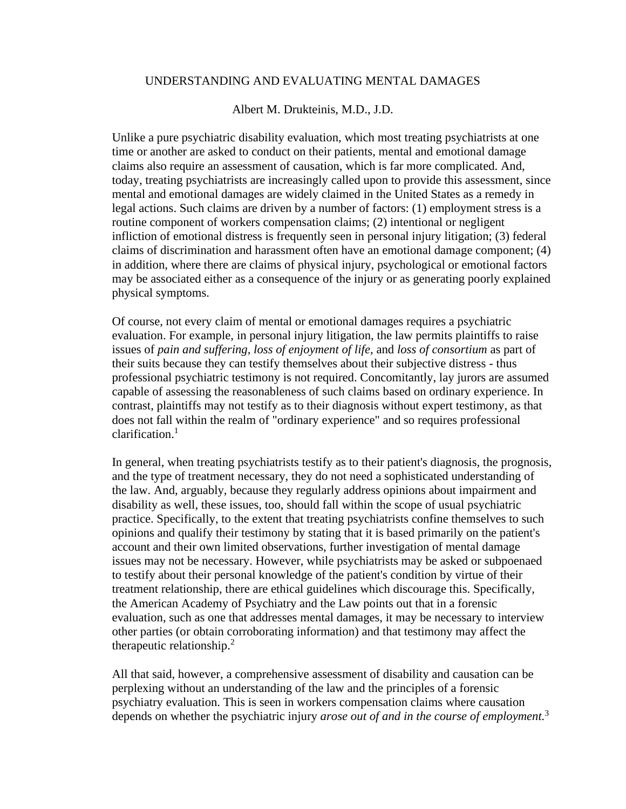## UNDERSTANDING AND EVALUATING MENTAL DAMAGES

Albert M. Drukteinis, M.D., J.D.

Unlike a pure psychiatric disability evaluation, which most treating psychiatrists at one time or another are asked to conduct on their patients, mental and emotional damage claims also require an assessment of causation, which is far more complicated. And, today, treating psychiatrists are increasingly called upon to provide this assessment, since mental and emotional damages are widely claimed in the United States as a remedy in legal actions. Such claims are driven by a number of factors: (1) employment stress is a routine component of workers compensation claims; (2) intentional or negligent infliction of emotional distress is frequently seen in personal injury litigation; (3) federal claims of discrimination and harassment often have an emotional damage component; (4) in addition, where there are claims of physical injury, psychological or emotional factors may be associated either as a consequence of the injury or as generating poorly explained physical symptoms.

Of course, not every claim of mental or emotional damages requires a psychiatric evaluation. For example, in personal injury litigation, the law permits plaintiffs to raise issues of *pain and suffering, loss of enjoyment of life,* and *loss of consortium* as part of their suits because they can testify themselves about their subjective distress - thus professional psychiatric testimony is not required. Concomitantly, lay jurors are assumed capable of assessing the reasonableness of such claims based on ordinary experience. In contrast, plaintiffs may not testify as to their diagnosis without expert testimony, as that does not fall within the realm of "ordinary experience" and so requires professional clarification. $1$ 

In general, when treating psychiatrists testify as to their patient's diagnosis, the prognosis, and the type of treatment necessary, they do not need a sophisticated understanding of the law. And, arguably, because they regularly address opinions about impairment and disability as well, these issues, too, should fall within the scope of usual psychiatric practice. Specifically, to the extent that treating psychiatrists confine themselves to such opinions and qualify their testimony by stating that it is based primarily on the patient's account and their own limited observations, further investigation of mental damage issues may not be necessary. However, while psychiatrists may be asked or subpoenaed to testify about their personal knowledge of the patient's condition by virtue of their treatment relationship, there are ethical guidelines which discourage this. Specifically, the American Academy of Psychiatry and the Law points out that in a forensic evaluation, such as one that addresses mental damages, it may be necessary to interview other parties (or obtain corroborating information) and that testimony may affect the therapeutic relationship.<sup>2</sup>

All that said, however, a comprehensive assessment of disability and causation can be perplexing without an understanding of the law and the principles of a forensic psychiatry evaluation. This is seen in workers compensation claims where causation depends on whether the psychiatric injury *arose out of and in the course of employment.*<sup>3</sup>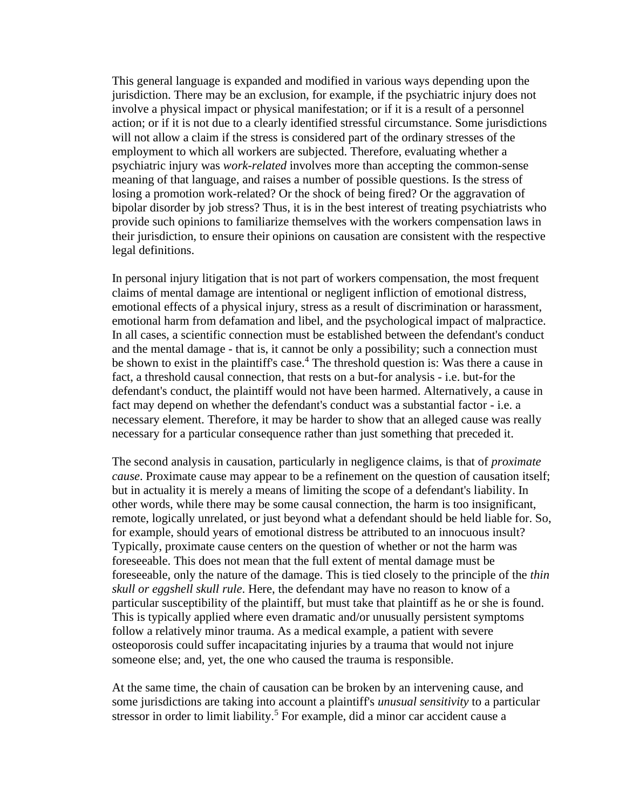This general language is expanded and modified in various ways depending upon the jurisdiction. There may be an exclusion, for example, if the psychiatric injury does not involve a physical impact or physical manifestation; or if it is a result of a personnel action; or if it is not due to a clearly identified stressful circumstance. Some jurisdictions will not allow a claim if the stress is considered part of the ordinary stresses of the employment to which all workers are subjected. Therefore, evaluating whether a psychiatric injury was *work-related* involves more than accepting the common-sense meaning of that language, and raises a number of possible questions. Is the stress of losing a promotion work-related? Or the shock of being fired? Or the aggravation of bipolar disorder by job stress? Thus, it is in the best interest of treating psychiatrists who provide such opinions to familiarize themselves with the workers compensation laws in their jurisdiction, to ensure their opinions on causation are consistent with the respective legal definitions.

In personal injury litigation that is not part of workers compensation, the most frequent claims of mental damage are intentional or negligent infliction of emotional distress, emotional effects of a physical injury, stress as a result of discrimination or harassment, emotional harm from defamation and libel, and the psychological impact of malpractice. In all cases, a scientific connection must be established between the defendant's conduct and the mental damage - that is, it cannot be only a possibility; such a connection must be shown to exist in the plaintiff's case.<sup>4</sup> The threshold question is: Was there a cause in fact, a threshold causal connection, that rests on a but-for analysis - i.e. but-for the defendant's conduct, the plaintiff would not have been harmed. Alternatively, a cause in fact may depend on whether the defendant's conduct was a substantial factor - i.e. a necessary element. Therefore, it may be harder to show that an alleged cause was really necessary for a particular consequence rather than just something that preceded it.

The second analysis in causation, particularly in negligence claims, is that of *proximate cause*. Proximate cause may appear to be a refinement on the question of causation itself; but in actuality it is merely a means of limiting the scope of a defendant's liability. In other words, while there may be some causal connection, the harm is too insignificant, remote, logically unrelated, or just beyond what a defendant should be held liable for. So, for example, should years of emotional distress be attributed to an innocuous insult? Typically, proximate cause centers on the question of whether or not the harm was foreseeable. This does not mean that the full extent of mental damage must be foreseeable, only the nature of the damage. This is tied closely to the principle of the *thin skull or eggshell skull rule*. Here, the defendant may have no reason to know of a particular susceptibility of the plaintiff, but must take that plaintiff as he or she is found. This is typically applied where even dramatic and/or unusually persistent symptoms follow a relatively minor trauma. As a medical example, a patient with severe osteoporosis could suffer incapacitating injuries by a trauma that would not injure someone else; and, yet, the one who caused the trauma is responsible.

At the same time, the chain of causation can be broken by an intervening cause, and some jurisdictions are taking into account a plaintiff's *unusual sensitivity* to a particular stressor in order to limit liability.<sup>5</sup> For example, did a minor car accident cause a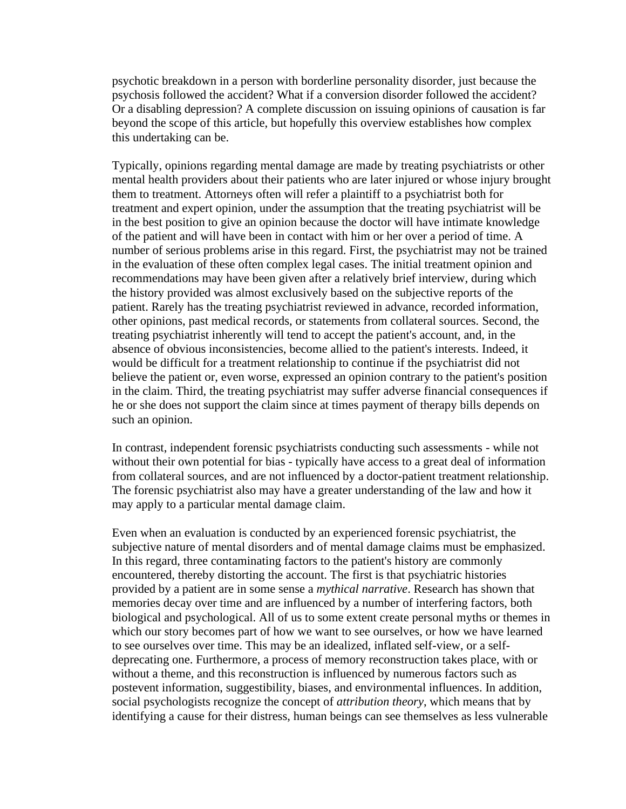psychotic breakdown in a person with borderline personality disorder, just because the psychosis followed the accident? What if a conversion disorder followed the accident? Or a disabling depression? A complete discussion on issuing opinions of causation is far beyond the scope of this article, but hopefully this overview establishes how complex this undertaking can be.

Typically, opinions regarding mental damage are made by treating psychiatrists or other mental health providers about their patients who are later injured or whose injury brought them to treatment. Attorneys often will refer a plaintiff to a psychiatrist both for treatment and expert opinion, under the assumption that the treating psychiatrist will be in the best position to give an opinion because the doctor will have intimate knowledge of the patient and will have been in contact with him or her over a period of time. A number of serious problems arise in this regard. First, the psychiatrist may not be trained in the evaluation of these often complex legal cases. The initial treatment opinion and recommendations may have been given after a relatively brief interview, during which the history provided was almost exclusively based on the subjective reports of the patient. Rarely has the treating psychiatrist reviewed in advance, recorded information, other opinions, past medical records, or statements from collateral sources. Second, the treating psychiatrist inherently will tend to accept the patient's account, and, in the absence of obvious inconsistencies, become allied to the patient's interests. Indeed, it would be difficult for a treatment relationship to continue if the psychiatrist did not believe the patient or, even worse, expressed an opinion contrary to the patient's position in the claim. Third, the treating psychiatrist may suffer adverse financial consequences if he or she does not support the claim since at times payment of therapy bills depends on such an opinion.

In contrast, independent forensic psychiatrists conducting such assessments - while not without their own potential for bias - typically have access to a great deal of information from collateral sources, and are not influenced by a doctor-patient treatment relationship. The forensic psychiatrist also may have a greater understanding of the law and how it may apply to a particular mental damage claim.

Even when an evaluation is conducted by an experienced forensic psychiatrist, the subjective nature of mental disorders and of mental damage claims must be emphasized. In this regard, three contaminating factors to the patient's history are commonly encountered, thereby distorting the account. The first is that psychiatric histories provided by a patient are in some sense a *mythical narrative*. Research has shown that memories decay over time and are influenced by a number of interfering factors, both biological and psychological. All of us to some extent create personal myths or themes in which our story becomes part of how we want to see ourselves, or how we have learned to see ourselves over time. This may be an idealized, inflated self-view, or a selfdeprecating one. Furthermore, a process of memory reconstruction takes place, with or without a theme, and this reconstruction is influenced by numerous factors such as postevent information, suggestibility, biases, and environmental influences. In addition, social psychologists recognize the concept of *attribution theory*, which means that by identifying a cause for their distress, human beings can see themselves as less vulnerable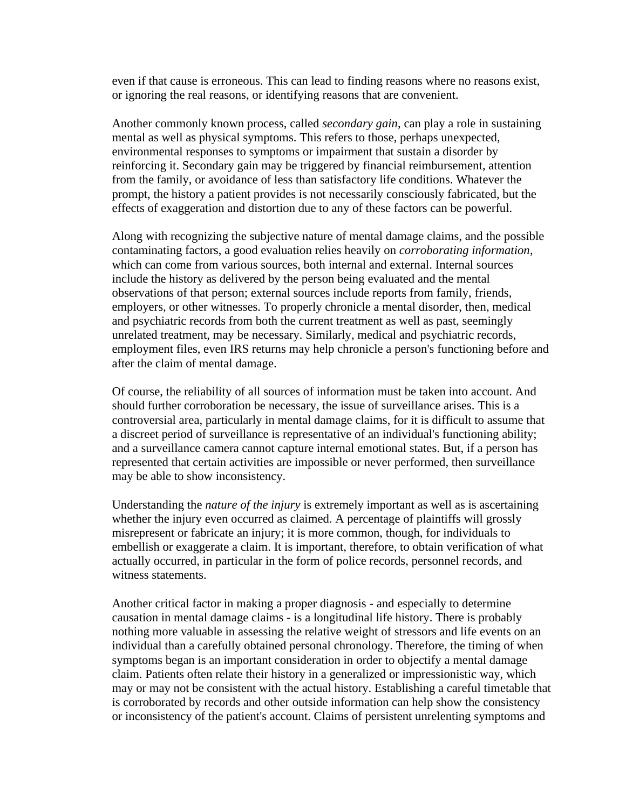even if that cause is erroneous. This can lead to finding reasons where no reasons exist, or ignoring the real reasons, or identifying reasons that are convenient.

Another commonly known process, called *secondary gain*, can play a role in sustaining mental as well as physical symptoms. This refers to those, perhaps unexpected, environmental responses to symptoms or impairment that sustain a disorder by reinforcing it. Secondary gain may be triggered by financial reimbursement, attention from the family, or avoidance of less than satisfactory life conditions. Whatever the prompt, the history a patient provides is not necessarily consciously fabricated, but the effects of exaggeration and distortion due to any of these factors can be powerful.

Along with recognizing the subjective nature of mental damage claims, and the possible contaminating factors, a good evaluation relies heavily on *corroborating information*, which can come from various sources, both internal and external. Internal sources include the history as delivered by the person being evaluated and the mental observations of that person; external sources include reports from family, friends, employers, or other witnesses. To properly chronicle a mental disorder, then, medical and psychiatric records from both the current treatment as well as past, seemingly unrelated treatment, may be necessary. Similarly, medical and psychiatric records, employment files, even IRS returns may help chronicle a person's functioning before and after the claim of mental damage.

Of course, the reliability of all sources of information must be taken into account. And should further corroboration be necessary, the issue of surveillance arises. This is a controversial area, particularly in mental damage claims, for it is difficult to assume that a discreet period of surveillance is representative of an individual's functioning ability; and a surveillance camera cannot capture internal emotional states. But, if a person has represented that certain activities are impossible or never performed, then surveillance may be able to show inconsistency.

Understanding the *nature of the injury* is extremely important as well as is ascertaining whether the injury even occurred as claimed. A percentage of plaintiffs will grossly misrepresent or fabricate an injury; it is more common, though, for individuals to embellish or exaggerate a claim. It is important, therefore, to obtain verification of what actually occurred, in particular in the form of police records, personnel records, and witness statements.

Another critical factor in making a proper diagnosis - and especially to determine causation in mental damage claims - is a longitudinal life history. There is probably nothing more valuable in assessing the relative weight of stressors and life events on an individual than a carefully obtained personal chronology. Therefore, the timing of when symptoms began is an important consideration in order to objectify a mental damage claim. Patients often relate their history in a generalized or impressionistic way, which may or may not be consistent with the actual history. Establishing a careful timetable that is corroborated by records and other outside information can help show the consistency or inconsistency of the patient's account. Claims of persistent unrelenting symptoms and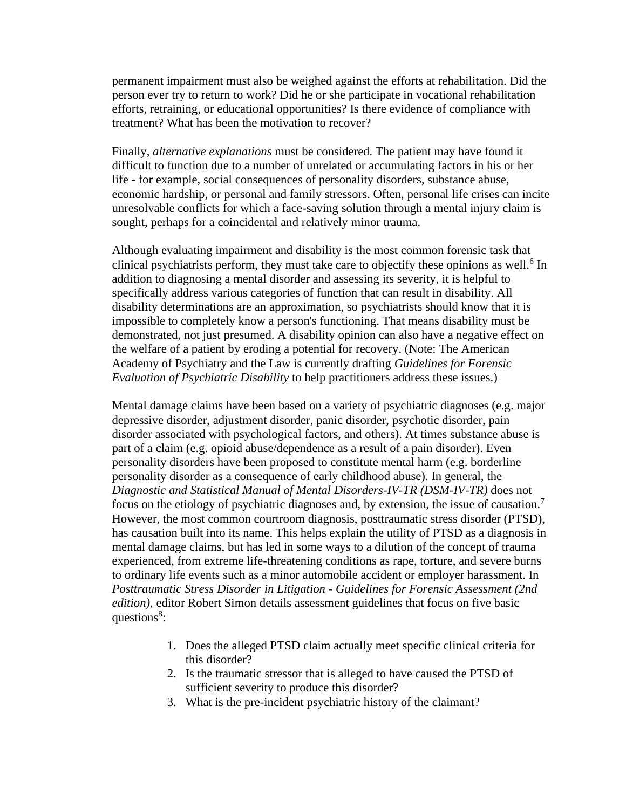permanent impairment must also be weighed against the efforts at rehabilitation. Did the person ever try to return to work? Did he or she participate in vocational rehabilitation efforts, retraining, or educational opportunities? Is there evidence of compliance with treatment? What has been the motivation to recover?

Finally, *alternative explanations* must be considered. The patient may have found it difficult to function due to a number of unrelated or accumulating factors in his or her life - for example, social consequences of personality disorders, substance abuse, economic hardship, or personal and family stressors. Often, personal life crises can incite unresolvable conflicts for which a face-saving solution through a mental injury claim is sought, perhaps for a coincidental and relatively minor trauma.

Although evaluating impairment and disability is the most common forensic task that clinical psychiatrists perform, they must take care to objectify these opinions as well.<sup>6</sup> In addition to diagnosing a mental disorder and assessing its severity, it is helpful to specifically address various categories of function that can result in disability. All disability determinations are an approximation, so psychiatrists should know that it is impossible to completely know a person's functioning. That means disability must be demonstrated, not just presumed. A disability opinion can also have a negative effect on the welfare of a patient by eroding a potential for recovery. (Note: The American Academy of Psychiatry and the Law is currently drafting *Guidelines for Forensic Evaluation of Psychiatric Disability* to help practitioners address these issues.)

Mental damage claims have been based on a variety of psychiatric diagnoses (e.g. major depressive disorder, adjustment disorder, panic disorder, psychotic disorder, pain disorder associated with psychological factors, and others). At times substance abuse is part of a claim (e.g. opioid abuse/dependence as a result of a pain disorder). Even personality disorders have been proposed to constitute mental harm (e.g. borderline personality disorder as a consequence of early childhood abuse). In general, the *Diagnostic and Statistical Manual of Mental Disorders-IV-TR (DSM-IV-TR)* does not focus on the etiology of psychiatric diagnoses and, by extension, the issue of causation.<sup>7</sup> However, the most common courtroom diagnosis, posttraumatic stress disorder (PTSD), has causation built into its name. This helps explain the utility of PTSD as a diagnosis in mental damage claims, but has led in some ways to a dilution of the concept of trauma experienced, from extreme life-threatening conditions as rape, torture, and severe burns to ordinary life events such as a minor automobile accident or employer harassment. In *Posttraumatic Stress Disorder in Litigation - Guidelines for Forensic Assessment (2nd edition)*, editor Robert Simon details assessment guidelines that focus on five basic questions<sup>8</sup>:

- 1. Does the alleged PTSD claim actually meet specific clinical criteria for this disorder?
- 2. Is the traumatic stressor that is alleged to have caused the PTSD of sufficient severity to produce this disorder?
- 3. What is the pre-incident psychiatric history of the claimant?